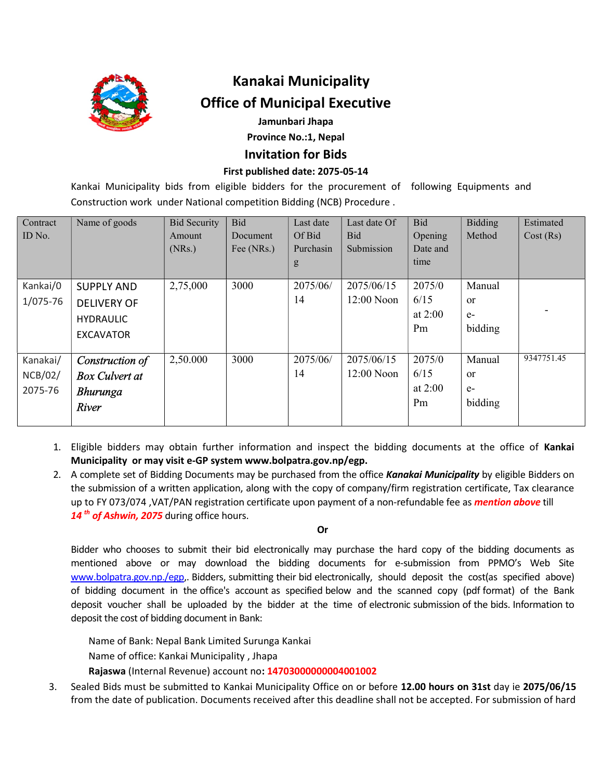

## Kanakai Municipality

# Office of Municipal Executive

### Jamunbari Jhapa

Province No.:1, Nepal

## Invitation for Bids

### First published date: 2075-05-14

Kankai Municipality bids from eligible bidders for the procurement of following Equipments and Construction work under National competition Bidding (NCB) Procedure .

| Contract       | Name of goods         | <b>Bid Security</b> | <b>Bid</b> | Last date | Last date Of | <b>Bid</b> | <b>Bidding</b> | Estimated  |
|----------------|-----------------------|---------------------|------------|-----------|--------------|------------|----------------|------------|
| ID No.         |                       | Amount              | Document   | Of Bid    | <b>Bid</b>   | Opening    | Method         | Cost(Rs)   |
|                |                       | (NRs.)              | Fee (NRs.) | Purchasin | Submission   | Date and   |                |            |
|                |                       |                     |            | g         |              | time       |                |            |
|                |                       |                     |            |           |              |            |                |            |
| Kankai/0       | <b>SUPPLY AND</b>     | 2,75,000            | 3000       | 2075/06/  | 2075/06/15   | 2075/0     | Manual         |            |
| $1/075 - 76$   | <b>DELIVERY OF</b>    |                     |            | 14        | $12:00$ Noon | 6/15       | <sub>or</sub>  |            |
|                | <b>HYDRAULIC</b>      |                     |            |           |              | at $2:00$  | $e-$           |            |
|                |                       |                     |            |           |              | Pm         | bidding        |            |
|                | <b>EXCAVATOR</b>      |                     |            |           |              |            |                |            |
| Kanakai/       | Construction of       | 2,50.000            | 3000       | 2075/06/  | 2075/06/15   | 2075/0     | Manual         | 9347751.45 |
| <b>NCB/02/</b> | <b>Box Culvert at</b> |                     |            | 14        | $12:00$ Noon | 6/15       | <sub>or</sub>  |            |
| 2075-76        | Bhurunga              |                     |            |           |              | at $2:00$  | $e-$           |            |
|                |                       |                     |            |           |              | Pm         | bidding        |            |
|                | River                 |                     |            |           |              |            |                |            |
|                |                       |                     |            |           |              |            |                |            |

- 1. Eligible bidders may obtain further information and inspect the bidding documents at the office of Kankai Municipality or may visit e-GP system www.bolpatra.gov.np/egp.
- 2. A complete set of Bidding Documents may be purchased from the office Kanakai Municipality by eligible Bidders on the submission of a written application, along with the copy of company/firm registration certificate, Tax clearance up to FY 073/074 , VAT/PAN registration certificate upon payment of a non-refundable fee as *mention above* till 14<sup>th</sup> of Ashwin, 2075 during office hours.

#### Or

Bidder who chooses to submit their bid electronically may purchase the hard copy of the bidding documents as mentioned above or may download the bidding documents for e-submission from PPMO's Web Site www.bolpatra.gov.np./egp,. Bidders, submitting their bid electronically, should deposit the cost(as specified above) of bidding document in the office's account as specified below and the scanned copy (pdf format) of the Bank deposit voucher shall be uploaded by the bidder at the time of electronic submission of the bids. Information to deposit the cost of bidding document in Bank:

Name of Bank: Nepal Bank Limited Surunga Kankai

Name of office: Kankai Municipality , Jhapa

Rajaswa (Internal Revenue) account no: 14703000000004001002

3. Sealed Bids must be submitted to Kankai Municipality Office on or before 12.00 hours on 31st day ie 2075/06/15 from the date of publication. Documents received after this deadline shall not be accepted. For submission of hard